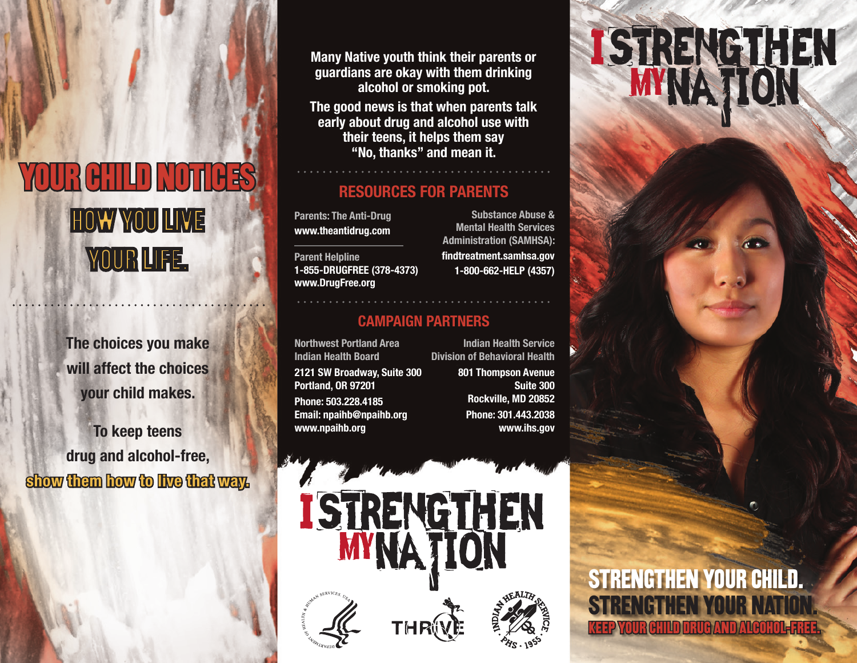# YOUR CHILD NOTICES HOW YOU LIVE YOUR LIFE.

**The choices you make will affect the choices your child makes.**

**To keep teens drug and alcohol-free, show them how to live that way.**  **Many Native youth think their parents or guardians are okay with them drinking alcohol or smoking pot.**

**The good news is that when parents talk early about drug and alcohol use with their teens, it helps them say "No, thanks" and mean it.**

#### **RESOURCES FOR PARENTS**

**Parents: The Anti-Drug www.theantidrug.com**

**Parent Helpline 1-855-DRUGFREE (378-4373) www.DrugFree.org**

**Substance Abuse & Mental Health Services Administration (SAMHSA): findtreatment.samhsa.gov**

**1-800-662-HELP (4357)**

#### **CAMPAIGN PARTNERS**

I STRENGTHEN

**Northwest Portland Area Indian Health Board 2121 SW Broadway, Suite 300 Portland, OR 97201 Phone: 503.228.4185 Email: npaihb@npaihb.org www.npaihb.org** 

**Indian Health Service Division of Behavioral Health**

> **801 Thompson Avenue Suite 300 Rockville, MD 20852 Phone: 301.443.2038 www.ihs.gov**

# **ISTRENGTHEN**

STRENGTHEN YOUR CHILD. STRENGTHEN YOUR KEEP YOUR CHILD DRUG AND ALCOHOL-FREE.